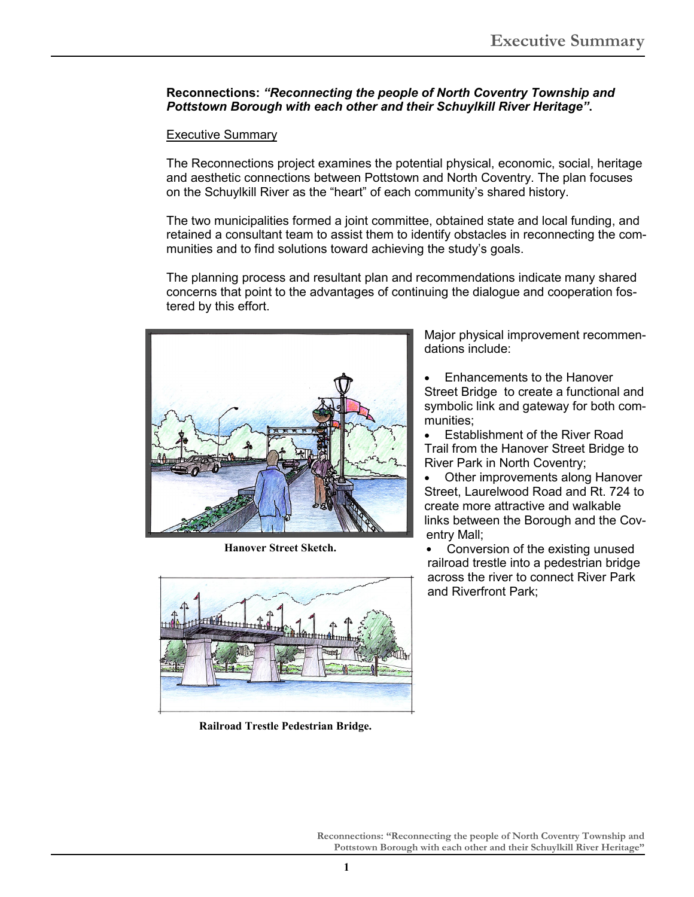## **Reconnections:** *"Reconnecting the people of North Coventry Township and Pottstown Borough with each other and their Schuylkill River Heritage"***.**

## Executive Summary

The Reconnections project examines the potential physical, economic, social, heritage and aesthetic connections between Pottstown and North Coventry. The plan focuses on the Schuylkill River as the "heart" of each community's shared history.

The two municipalities formed a joint committee, obtained state and local funding, and retained a consultant team to assist them to identify obstacles in reconnecting the communities and to find solutions toward achieving the study's goals.

The planning process and resultant plan and recommendations indicate many shared concerns that point to the advantages of continuing the dialogue and cooperation fostered by this effort.



**Hanover Street Sketch.** 



**Railroad Trestle Pedestrian Bridge.** 

Major physical improvement recommendations include:

• Enhancements to the Hanover Street Bridge to create a functional and symbolic link and gateway for both communities;

• Establishment of the River Road Trail from the Hanover Street Bridge to River Park in North Coventry;

Other improvements along Hanover Street, Laurelwood Road and Rt. 724 to create more attractive and walkable links between the Borough and the Coventry Mall;

• Conversion of the existing unused railroad trestle into a pedestrian bridge across the river to connect River Park and Riverfront Park;

**Reconnections: "Reconnecting the people of North Coventry Township and Pottstown Borough with each other and their Schuylkill River Heritage"**